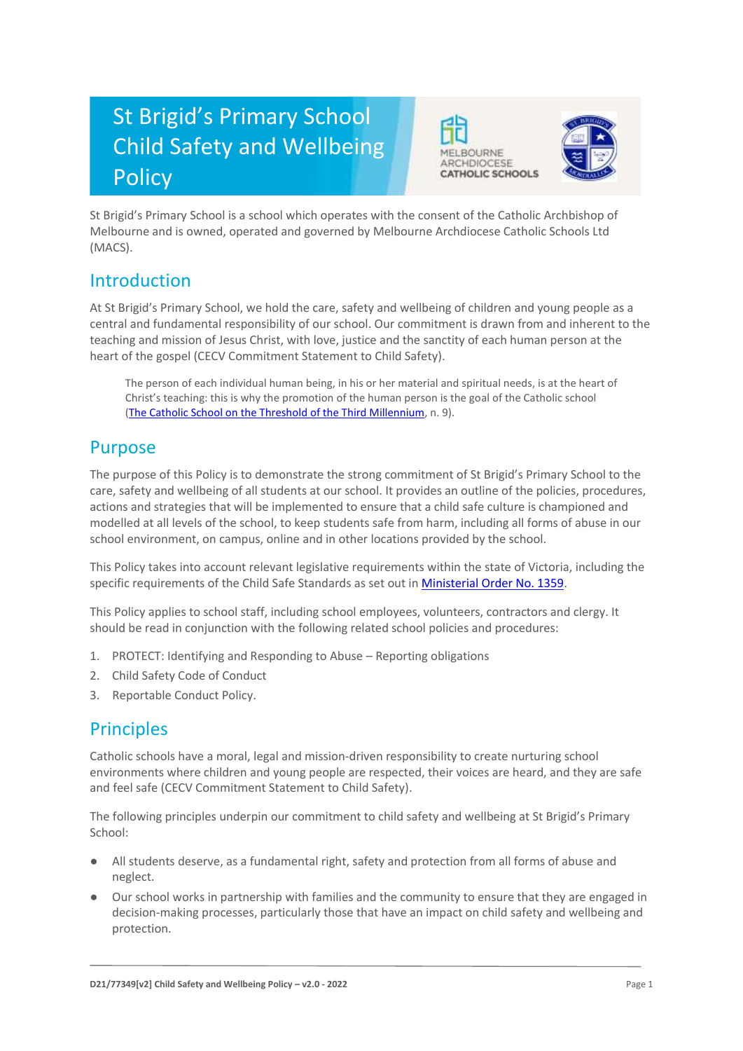# St Brigid's Primary School Child Safety and Wellbeing Policy





St Brigid's Primary School is a school which operates with the consent of the Catholic Archbishop of Melbourne and is owned, operated and governed by Melbourne Archdiocese Catholic Schools Ltd (MACS).

#### Introduction

At St Brigid's Primary School, we hold the care, safety and wellbeing of children and young people as a central and fundamental responsibility of our school. Our commitment is drawn from and inherent to the teaching and mission of Jesus Christ, with love, justice and the sanctity of each human person at the heart of the gospel (CECV Commitment Statement to Child Safety).

The person of each individual human being, in his or her material and spiritual needs, is at the heart of Christ's teaching: this is why the promotion of the human person is the goal of the Catholic school [\(The Catholic School on the Threshold of the Third Millennium,](http://www.vatican.va/roman_curia/congregations/ccatheduc/documents/rc_con_ccatheduc_doc_27041998_school2000_en.html) n. 9).

### Purpose

The purpose of this Policy is to demonstrate the strong commitment of St Brigid's Primary School to the care, safety and wellbeing of all students at our school. It provides an outline of the policies, procedures, actions and strategies that will be implemented to ensure that a child safe culture is championed and modelled at all levels of the school, to keep students safe from harm, including all forms of abuse in our school environment, on campus, online and in other locations provided by the school.

This Policy takes into account relevant legislative requirements within the state of Victoria, including the specific requirements of the Child Safe Standards as set out in [Ministerial Order No. 1359.](https://www.vrqa.vic.gov.au/Documents/MinOrder1359childsafe.pdf)

This Policy applies to school staff, including school employees, volunteers, contractors and clergy. It should be read in conjunction with the following related school policies and procedures:

- 1. PROTECT: Identifying and Responding to Abuse Reporting obligations
- 2. Child Safety Code of Conduct
- 3. Reportable Conduct Policy.

# **Principles**

Catholic schools have a moral, legal and mission-driven responsibility to create nurturing school environments where children and young people are respected, their voices are heard, and they are safe and feel safe (CECV Commitment Statement to Child Safety).

The following principles underpin our commitment to child safety and wellbeing at St Brigid's Primary School:

- All students deserve, as a fundamental right, safety and protection from all forms of abuse and neglect.
- Our school works in partnership with families and the community to ensure that they are engaged in decision-making processes, particularly those that have an impact on child safety and wellbeing and protection.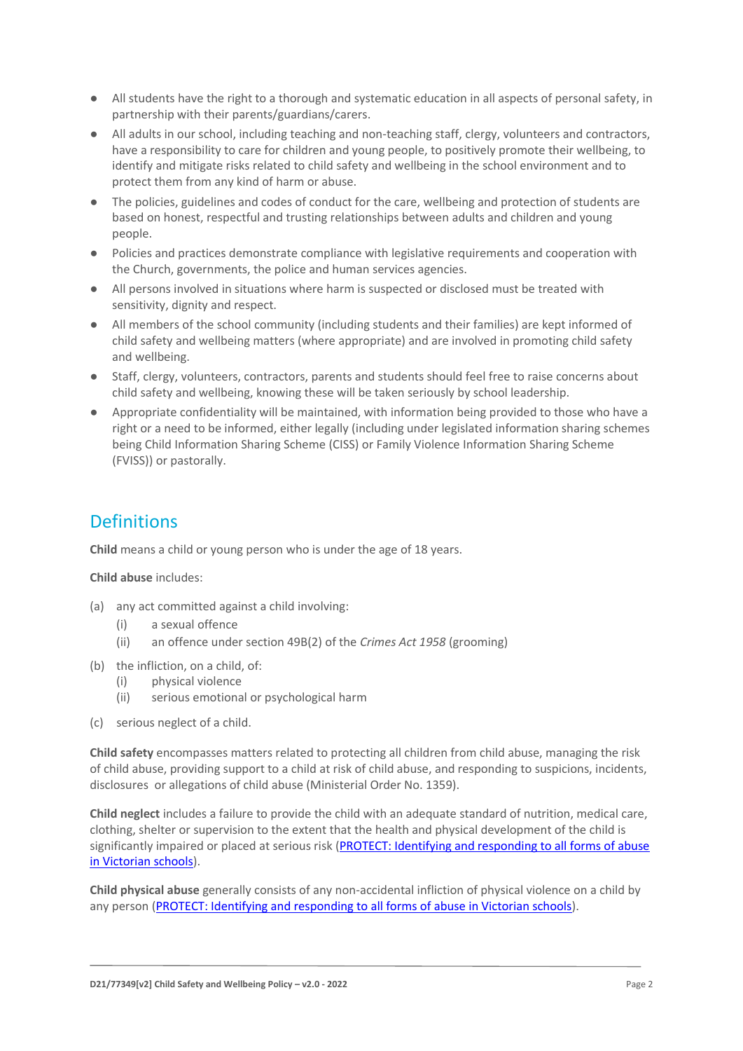- All students have the right to a thorough and systematic education in all aspects of personal safety, in partnership with their parents/guardians/carers.
- All adults in our school, including teaching and non-teaching staff, clergy, volunteers and contractors, have a responsibility to care for children and young people, to positively promote their wellbeing, to identify and mitigate risks related to child safety and wellbeing in the school environment and to protect them from any kind of harm or abuse.
- The policies, guidelines and codes of conduct for the care, wellbeing and protection of students are based on honest, respectful and trusting relationships between adults and children and young people.
- Policies and practices demonstrate compliance with legislative requirements and cooperation with the Church, governments, the police and human services agencies.
- All persons involved in situations where harm is suspected or disclosed must be treated with sensitivity, dignity and respect.
- All members of the school community (including students and their families) are kept informed of child safety and wellbeing matters (where appropriate) and are involved in promoting child safety and wellbeing.
- Staff, clergy, volunteers, contractors, parents and students should feel free to raise concerns about child safety and wellbeing, knowing these will be taken seriously by school leadership.
- Appropriate confidentiality will be maintained, with information being provided to those who have a right or a need to be informed, either legally (including under legislated information sharing schemes being Child Information Sharing Scheme (CISS) or Family Violence Information Sharing Scheme (FVISS)) or pastorally.

# **Definitions**

**Child** means a child or young person who is under the age of 18 years.

**Child abuse** includes:

- (a) any act committed against a child involving:
	- (i) a sexual offence
	- (ii) an offence under section 49B(2) of the *Crimes Act 1958* (grooming)
- (b) the infliction, on a child, of:
	- (i) physical violence
	- (ii) serious emotional or psychological harm
- (c) serious neglect of a child.

**Child safety** encompasses matters related to protecting all children from child abuse, managing the risk of child abuse, providing support to a child at risk of child abuse, and responding to suspicions, incidents, disclosures or allegations of child abuse (Ministerial Order No. 1359).

**Child neglect** includes a failure to provide the child with an adequate standard of nutrition, medical care, clothing, shelter or supervision to the extent that the health and physical development of the child is significantly impaired or placed at serious risk (PROTECT: Identifying and responding to all forms of abuse [in Victorian schools\)](http://www.cecv.catholic.edu.au/getmedia/ebe135a4-d1b3-48a0-81fe-50d4fc451bcd/Identifying-and-Responding-to-All-Forms-of-Abuse.aspx#page%3D27).

**Child physical abuse** generally consists of any non-accidental infliction of physical violence on a child by any person [\(PROTECT: Identifying and responding to all forms of abuse in Victorian schools\)](https://www.cecv.catholic.edu.au/getmedia/ebe135a4-d1b3-48a0-81fe-50d4fc451bcd/Identifying-and-Responding-to-All-Forms-of-Abuse.aspx#page%3D15).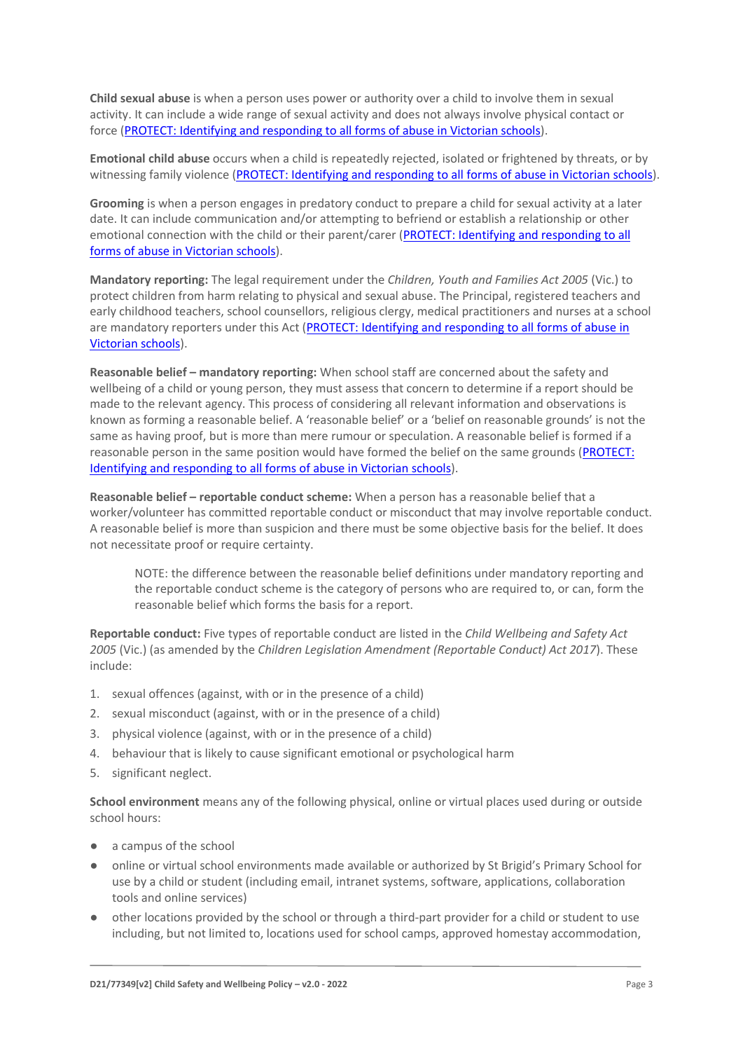**Child sexual abuse** is when a person uses power or authority over a child to involve them in sexual activity. It can include a wide range of sexual activity and does not always involve physical contact or force [\(PROTECT: Identifying and responding to all forms of abuse in Victorian schools\)](https://www.cecv.catholic.edu.au/getmedia/ebe135a4-d1b3-48a0-81fe-50d4fc451bcd/Identifying-and-Responding-to-All-Forms-of-Abuse.aspx#page%3D17).

**Emotional child abuse** occurs when a child is repeatedly rejected, isolated or frightened by threats, or by witnessing family violence [\(PROTECT: Identifying and responding to all forms of abuse in Victorian schools\)](https://www.cecv.catholic.edu.au/getmedia/ebe135a4-d1b3-48a0-81fe-50d4fc451bcd/Identifying-and-Responding-to-All-Forms-of-Abuse.aspx#page%3D26).

**Grooming** is when a person engages in predatory conduct to prepare a child for sexual activity at a later date. It can include communication and/or attempting to befriend or establish a relationship or other emotional connection with the child or their parent/carer [\(PROTECT: Identifying and responding to all](https://www.cecv.catholic.edu.au/getmedia/ebe135a4-d1b3-48a0-81fe-50d4fc451bcd/Identifying-and-Responding-to-All-Forms-of-Abuse.aspx#page%3D20)  [forms of abuse in Victorian schools\)](https://www.cecv.catholic.edu.au/getmedia/ebe135a4-d1b3-48a0-81fe-50d4fc451bcd/Identifying-and-Responding-to-All-Forms-of-Abuse.aspx#page%3D20).

**Mandatory reporting:** The legal requirement under the *Children, Youth and Families Act 2005* (Vic.) to protect children from harm relating to physical and sexual abuse. The Principal, registered teachers and early childhood teachers, school counsellors, religious clergy, medical practitioners and nurses at a school are mandatory reporters under this Act [\(PROTECT: Identifying and responding to all forms of abuse in](http://www.cecv.catholic.edu.au/getmedia/ebe135a4-d1b3-48a0-81fe-50d4fc451bcd/Identifying-and-Responding-to-All-Forms-of-Abuse.aspx#page%3D8)  [Victorian schools\)](http://www.cecv.catholic.edu.au/getmedia/ebe135a4-d1b3-48a0-81fe-50d4fc451bcd/Identifying-and-Responding-to-All-Forms-of-Abuse.aspx#page%3D8).

**Reasonable belief – mandatory reporting:** When school staff are concerned about the safety and wellbeing of a child or young person, they must assess that concern to determine if a report should be made to the relevant agency. This process of considering all relevant information and observations is known as forming a reasonable belief. A 'reasonable belief' or a 'belief on reasonable grounds' is not the same as having proof, but is more than mere rumour or speculation. A reasonable belief is formed if a reasonable person in the same position would have formed the belief on the same grounds [\(PROTECT:](http://www.cecv.catholic.edu.au/getmedia/ebe135a4-d1b3-48a0-81fe-50d4fc451bcd/Identifying-and-Responding-to-All-Forms-of-Abuse.aspx#page%3D35)  [Identifying and responding to all forms of abuse in Victorian schools\)](http://www.cecv.catholic.edu.au/getmedia/ebe135a4-d1b3-48a0-81fe-50d4fc451bcd/Identifying-and-Responding-to-All-Forms-of-Abuse.aspx#page%3D35).

**Reasonable belief – reportable conduct scheme:** When a person has a reasonable belief that a worker/volunteer has committed reportable conduct or misconduct that may involve reportable conduct. A reasonable belief is more than suspicion and there must be some objective basis for the belief. It does not necessitate proof or require certainty.

NOTE: the difference between the reasonable belief definitions under mandatory reporting and the reportable conduct scheme is the category of persons who are required to, or can, form the reasonable belief which forms the basis for a report.

**Reportable conduct:** Five types of reportable conduct are listed in the *Child Wellbeing and Safety Act 2005* (Vic.) (as amended by the *Children Legislation Amendment (Reportable Conduct) Act 2017*). These include:

- 1. sexual offences (against, with or in the presence of a child)
- 2. sexual misconduct (against, with or in the presence of a child)
- 3. physical violence (against, with or in the presence of a child)
- 4. behaviour that is likely to cause significant emotional or psychological harm
- 5. significant neglect.

**School environment** means any of the following physical, online or virtual places used during or outside school hours:

- a campus of the school
- online or virtual school environments made available or authorized by St Brigid's Primary School for use by a child or student (including email, intranet systems, software, applications, collaboration tools and online services)
- other locations provided by the school or through a third-part provider for a child or student to use including, but not limited to, locations used for school camps, approved homestay accommodation,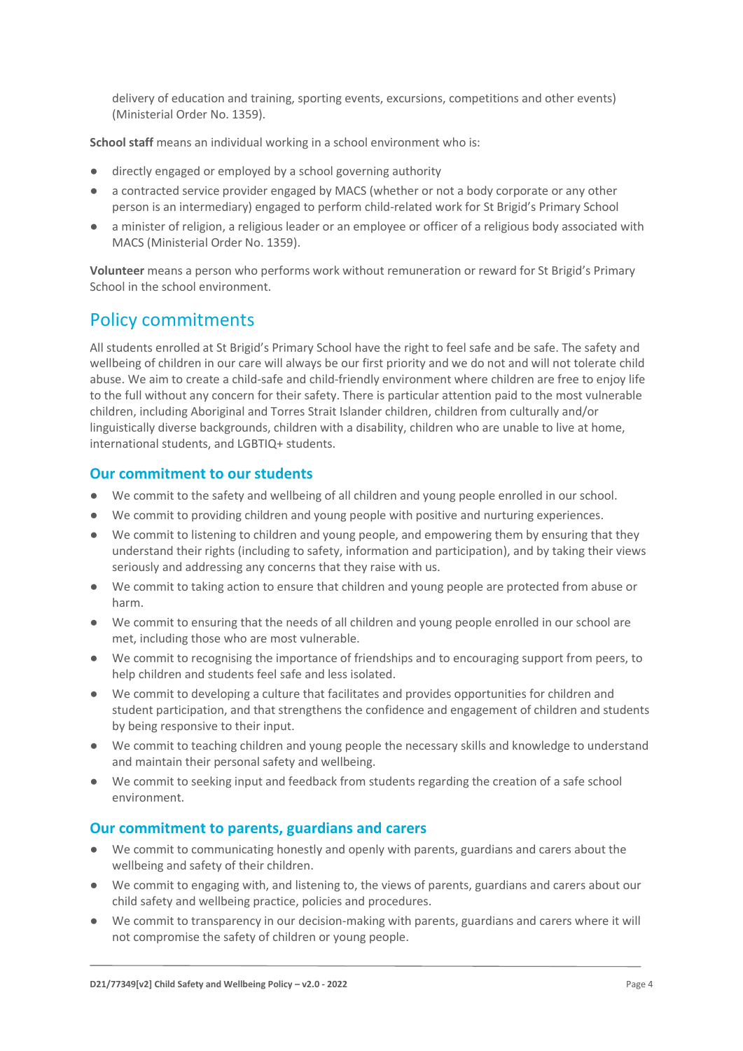delivery of education and training, sporting events, excursions, competitions and other events) (Ministerial Order No. 1359).

**School staff** means an individual working in a school environment who is:

- directly engaged or employed by a school governing authority
- a contracted service provider engaged by MACS (whether or not a body corporate or any other person is an intermediary) engaged to perform child-related work for St Brigid's Primary School
- a minister of religion, a religious leader or an employee or officer of a religious body associated with MACS (Ministerial Order No. 1359).

**Volunteer** means a person who performs work without remuneration or reward for St Brigid's Primary School in the school environment.

#### Policy commitments

All students enrolled at St Brigid's Primary School have the right to feel safe and be safe. The safety and wellbeing of children in our care will always be our first priority and we do not and will not tolerate child abuse. We aim to create a child-safe and child-friendly environment where children are free to enjoy life to the full without any concern for their safety. There is particular attention paid to the most vulnerable children, including Aboriginal and Torres Strait Islander children, children from culturally and/or linguistically diverse backgrounds, children with a disability, children who are unable to live at home, international students, and LGBTIQ+ students.

#### **Our commitment to our students**

- We commit to the safety and wellbeing of all children and young people enrolled in our school.
- We commit to providing children and young people with positive and nurturing experiences.
- We commit to listening to children and young people, and empowering them by ensuring that they understand their rights (including to safety, information and participation), and by taking their views seriously and addressing any concerns that they raise with us.
- We commit to taking action to ensure that children and young people are protected from abuse or harm.
- We commit to ensuring that the needs of all children and young people enrolled in our school are met, including those who are most vulnerable.
- We commit to recognising the importance of friendships and to encouraging support from peers, to help children and students feel safe and less isolated.
- We commit to developing a culture that facilitates and provides opportunities for children and student participation, and that strengthens the confidence and engagement of children and students by being responsive to their input.
- We commit to teaching children and young people the necessary skills and knowledge to understand and maintain their personal safety and wellbeing.
- We commit to seeking input and feedback from students regarding the creation of a safe school environment.

#### **Our commitment to parents, guardians and carers**

- We commit to communicating honestly and openly with parents, guardians and carers about the wellbeing and safety of their children.
- We commit to engaging with, and listening to, the views of parents, guardians and carers about our child safety and wellbeing practice, policies and procedures.
- We commit to transparency in our decision-making with parents, guardians and carers where it will not compromise the safety of children or young people.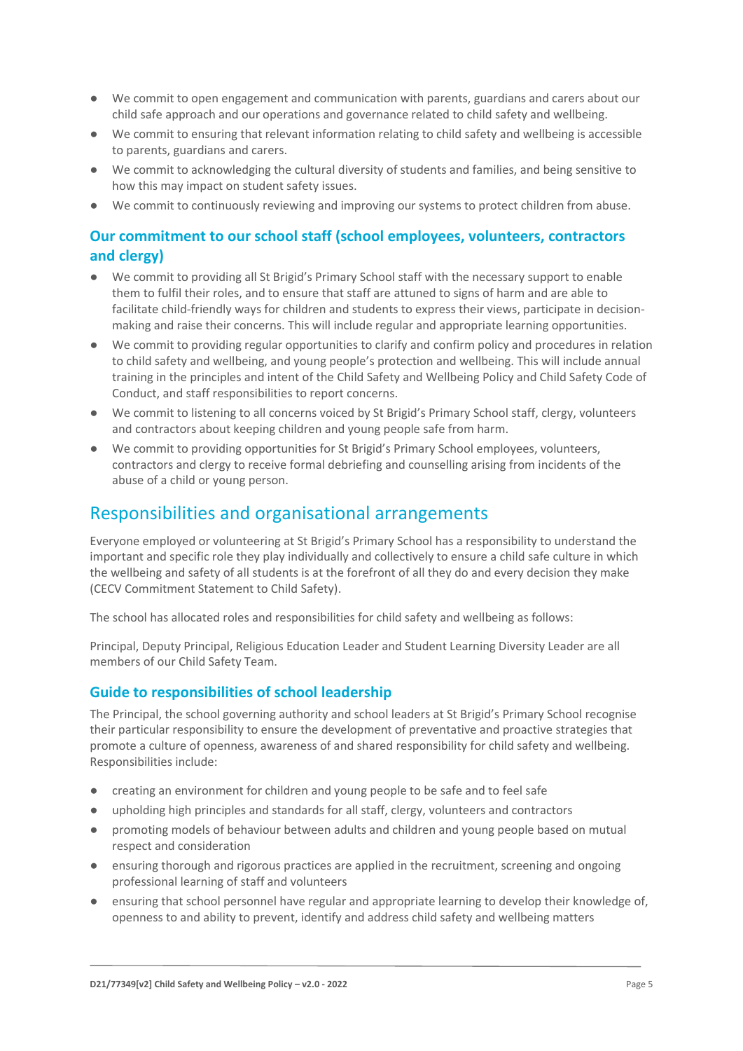- We commit to open engagement and communication with parents, guardians and carers about our child safe approach and our operations and governance related to child safety and wellbeing.
- We commit to ensuring that relevant information relating to child safety and wellbeing is accessible to parents, guardians and carers.
- We commit to acknowledging the cultural diversity of students and families, and being sensitive to how this may impact on student safety issues.
- We commit to continuously reviewing and improving our systems to protect children from abuse.

#### **Our commitment to our school staff (school employees, volunteers, contractors and clergy)**

- We commit to providing all St Brigid's Primary School staff with the necessary support to enable them to fulfil their roles, and to ensure that staff are attuned to signs of harm and are able to facilitate child-friendly ways for children and students to express their views, participate in decisionmaking and raise their concerns. This will include regular and appropriate learning opportunities.
- We commit to providing regular opportunities to clarify and confirm policy and procedures in relation to child safety and wellbeing, and young people's protection and wellbeing. This will include annual training in the principles and intent of the Child Safety and Wellbeing Policy and Child Safety Code of Conduct, and staff responsibilities to report concerns.
- We commit to listening to all concerns voiced by St Brigid's Primary School staff, clergy, volunteers and contractors about keeping children and young people safe from harm.
- We commit to providing opportunities for St Brigid's Primary School employees, volunteers, contractors and clergy to receive formal debriefing and counselling arising from incidents of the abuse of a child or young person.

#### Responsibilities and organisational arrangements

Everyone employed or volunteering at St Brigid's Primary School has a responsibility to understand the important and specific role they play individually and collectively to ensure a child safe culture in which the wellbeing and safety of all students is at the forefront of all they do and every decision they make (CECV Commitment Statement to Child Safety).

The school has allocated roles and responsibilities for child safety and wellbeing as follows:

Principal, Deputy Principal, Religious Education Leader and Student Learning Diversity Leader are all members of our Child Safety Team.

#### **Guide to responsibilities of school leadership**

The Principal, the school governing authority and school leaders at St Brigid's Primary School recognise their particular responsibility to ensure the development of preventative and proactive strategies that promote a culture of openness, awareness of and shared responsibility for child safety and wellbeing. Responsibilities include:

- creating an environment for children and young people to be safe and to feel safe
- upholding high principles and standards for all staff, clergy, volunteers and contractors
- promoting models of behaviour between adults and children and young people based on mutual respect and consideration
- ensuring thorough and rigorous practices are applied in the recruitment, screening and ongoing professional learning of staff and volunteers
- ensuring that school personnel have regular and appropriate learning to develop their knowledge of, openness to and ability to prevent, identify and address child safety and wellbeing matters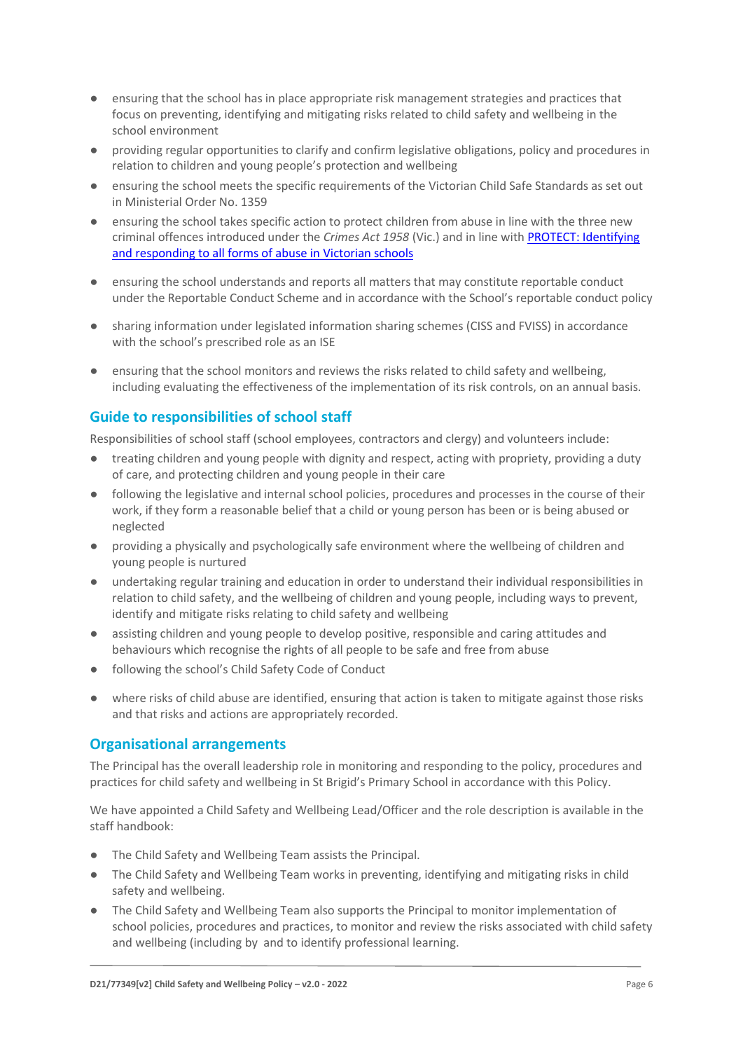- ensuring that the school has in place appropriate risk management strategies and practices that focus on preventing, identifying and mitigating risks related to child safety and wellbeing in the school environment
- providing regular opportunities to clarify and confirm legislative obligations, policy and procedures in relation to children and young people's protection and wellbeing
- ensuring the school meets the specific requirements of the Victorian Child Safe Standards as set out in Ministerial Order No. 1359
- ensuring the school takes specific action to protect children from abuse in line with the three new criminal offences introduced under the *Crimes Act 1958* (Vic.) and in line wit[h PROTECT: Identifying](http://www.cecv.catholic.edu.au/getmedia/ebe135a4-d1b3-48a0-81fe-50d4fc451bcd/Identifying-and-Responding-to-All-Forms-of-Abuse.aspx)  [and responding to all forms of abuse in Victorian schools](http://www.cecv.catholic.edu.au/getmedia/ebe135a4-d1b3-48a0-81fe-50d4fc451bcd/Identifying-and-Responding-to-All-Forms-of-Abuse.aspx)
- ensuring the school understands and reports all matters that may constitute reportable conduct under the Reportable Conduct Scheme and in accordance with the School's reportable conduct policy
- sharing information under legislated information sharing schemes (CISS and FVISS) in accordance with the school's prescribed role as an ISE
- ensuring that the school monitors and reviews the risks related to child safety and wellbeing, including evaluating the effectiveness of the implementation of its risk controls, on an annual basis.

#### **Guide to responsibilities of school staff**

Responsibilities of school staff (school employees, contractors and clergy) and volunteers include:

- treating children and young people with dignity and respect, acting with propriety, providing a duty of care, and protecting children and young people in their care
- following the legislative and internal school policies, procedures and processes in the course of their work, if they form a reasonable belief that a child or young person has been or is being abused or neglected
- providing a physically and psychologically safe environment where the wellbeing of children and young people is nurtured
- undertaking regular training and education in order to understand their individual responsibilities in relation to child safety, and the wellbeing of children and young people, including ways to prevent, identify and mitigate risks relating to child safety and wellbeing
- assisting children and young people to develop positive, responsible and caring attitudes and behaviours which recognise the rights of all people to be safe and free from abuse
- following the school's Child Safety Code of Conduct
- where risks of child abuse are identified, ensuring that action is taken to mitigate against those risks and that risks and actions are appropriately recorded.

#### **Organisational arrangements**

The Principal has the overall leadership role in monitoring and responding to the policy, procedures and practices for child safety and wellbeing in St Brigid's Primary School in accordance with this Policy.

We have appointed a Child Safety and Wellbeing Lead/Officer and the role description is available in the staff handbook:

- The Child Safety and Wellbeing Team assists the Principal.
- The Child Safety and Wellbeing Team works in preventing, identifying and mitigating risks in child safety and wellbeing.
- The Child Safety and Wellbeing Team also supports the Principal to monitor implementation of school policies, procedures and practices, to monitor and review the risks associated with child safety and wellbeing (including by and to identify professional learning.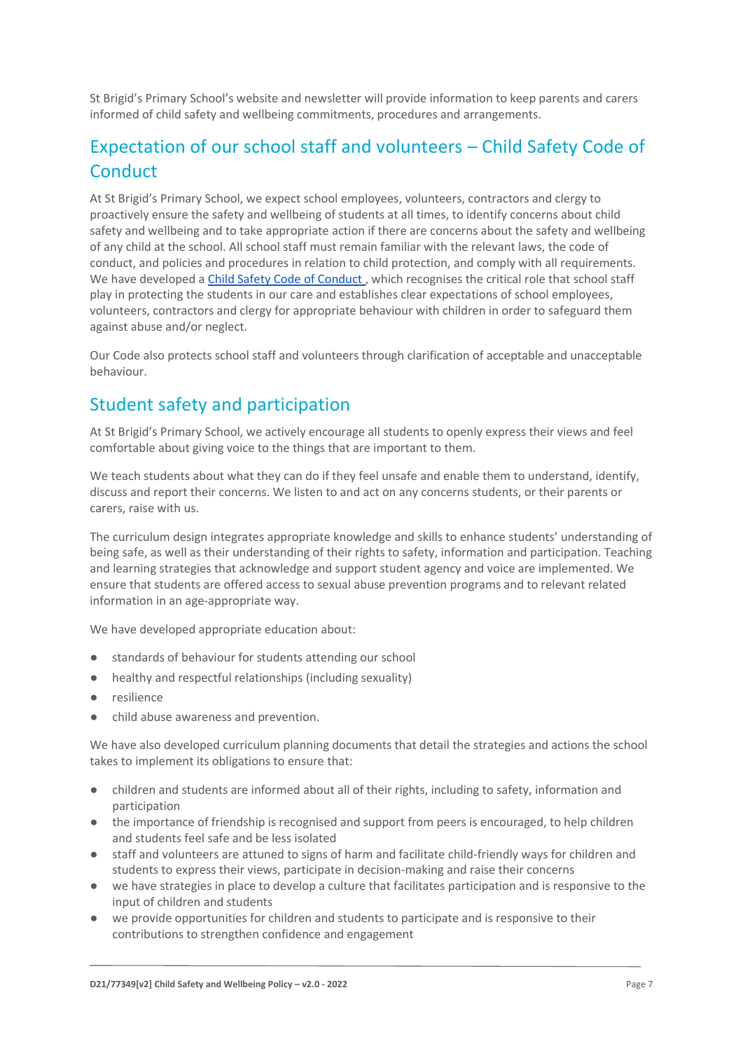St Brigid's Primary School's website and newsletter will provide information to keep parents and carers informed of child safety and wellbeing commitments, procedures and arrangements.

# Expectation of our school staff and volunteers – Child Safety Code of **Conduct**

At St Brigid's Primary School, we expect school employees, volunteers, contractors and clergy to proactively ensure the safety and wellbeing of students at all times, to identify concerns about child safety and wellbeing and to take appropriate action if there are concerns about the safety and wellbeing of any child at the school. All school staff must remain familiar with the relevant laws, the code of conduct, and policies and procedures in relation to child protection, and comply with all requirements. We have developed a Child Safety Code of Conduct, which recognises the critical role that school staff play in protecting the students in our care and establishes clear expectations of school employees, volunteers, contractors and clergy for appropriate behaviour with children in order to safeguard them against abuse and/or neglect.

Our Code also protects school staff and volunteers through clarification of acceptable and unacceptable behaviour.

# Student safety and participation

At St Brigid's Primary School, we actively encourage all students to openly express their views and feel comfortable about giving voice to the things that are important to them.

We teach students about what they can do if they feel unsafe and enable them to understand, identify, discuss and report their concerns. We listen to and act on any concerns students, or their parents or carers, raise with us.

The curriculum design integrates appropriate knowledge and skills to enhance students' understanding of being safe, as well as their understanding of their rights to safety, information and participation. Teaching and learning strategies that acknowledge and support student agency and voice are implemented. We ensure that students are offered access to sexual abuse prevention programs and to relevant related information in an age-appropriate way.

We have developed appropriate education about:

- standards of behaviour for students attending our school
- healthy and respectful relationships (including sexuality)
- resilience
- child abuse awareness and prevention.

We have also developed curriculum planning documents that detail the strategies and actions the school takes to implement its obligations to ensure that:

- children and students are informed about all of their rights, including to safety, information and participation
- the importance of friendship is recognised and support from peers is encouraged, to help children and students feel safe and be less isolated
- staff and volunteers are attuned to signs of harm and facilitate child-friendly ways for children and students to express their views, participate in decision-making and raise their concerns
- we have strategies in place to develop a culture that facilitates participation and is responsive to the input of children and students
- we provide opportunities for children and students to participate and is responsive to their contributions to strengthen confidence and engagement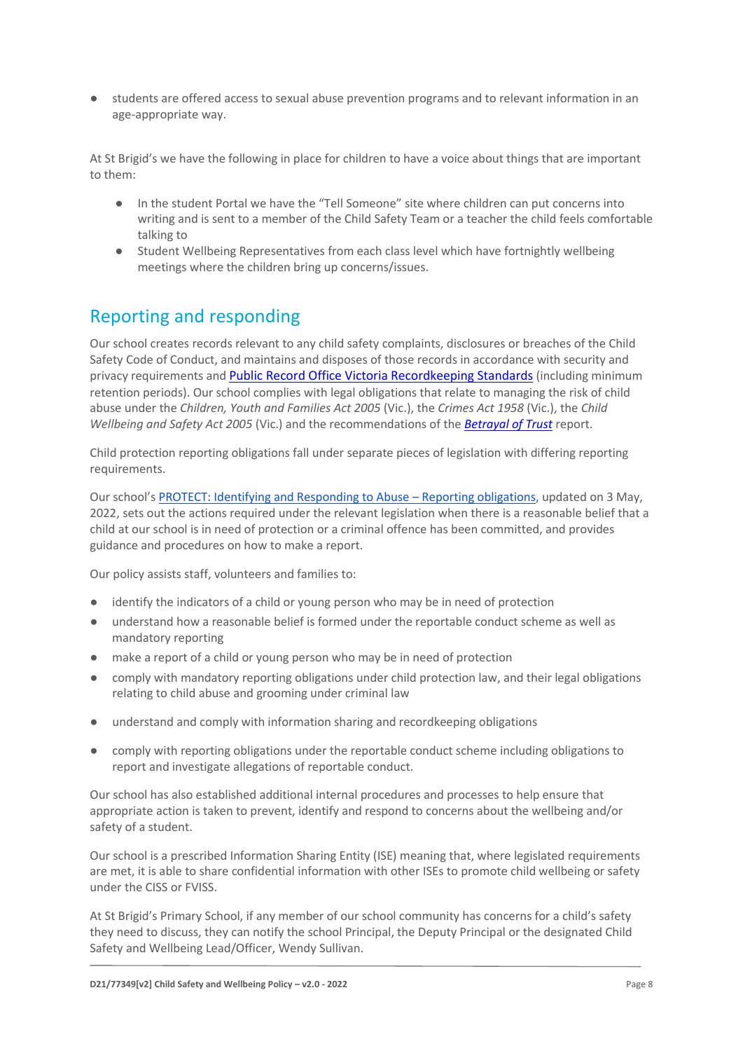students are offered access to sexual abuse prevention programs and to relevant information in an age-appropriate way.

At St Brigid's we have the following in place for children to have a voice about things that are important to them:

- In the student Portal we have the "Tell Someone" site where children can put concerns into writing and is sent to a member of the Child Safety Team or a teacher the child feels comfortable talking to
- Student Wellbeing Representatives from each class level which have fortnightly wellbeing meetings where the children bring up concerns/issues.

### Reporting and responding

Our school creates records relevant to any child safety complaints, disclosures or breaches of the Child Safety Code of Conduct, and maintains and disposes of those records in accordance with security and privacy requirements and [Public Record Office Victoria Recordkeeping Standards](https://prov.vic.gov.au/sites/default/files/files/documents/1906v1.0.pdf) (including minimum retention periods). Our school complies with legal obligations that relate to managing the risk of child abuse under the *Children, Youth and Families Act 2005* (Vic.), the *Crimes Act 1958* (Vic.), the *Child Wellbeing and Safety Act 2005* (Vic.) and the recommendations of the *[Betrayal of Trust](http://www.parliament.vic.gov.au/fcdc/article/1788)* report.

Child protection reporting obligations fall under separate pieces of legislation with differing reporting requirements.

Our school's [PROTECT: Identifying and Responding to Abuse](https://www.sbmord.catholic.edu.au/wp-content/uploads/2022/05/PROTECT-Identifying-and-Responding-to-Abuse-Reporting-Obligations-v2-0-2022.pdf) – Reporting obligations, updated on 3 May, 2022, sets out the actions required under the relevant legislation when there is a reasonable belief that a child at our school is in need of protection or a criminal offence has been committed, and provides guidance and procedures on how to make a report.

Our policy assists staff, volunteers and families to:

- identify the indicators of a child or young person who may be in need of protection
- understand how a reasonable belief is formed under the reportable conduct scheme as well as mandatory reporting
- make a report of a child or young person who may be in need of protection
- comply with mandatory reporting obligations under child protection law, and their legal obligations relating to child abuse and grooming under criminal law
- understand and comply with information sharing and recordkeeping obligations
- comply with reporting obligations under the reportable conduct scheme including obligations to report and investigate allegations of reportable conduct.

Our school has also established additional internal procedures and processes to help ensure that appropriate action is taken to prevent, identify and respond to concerns about the wellbeing and/or safety of a student.

Our school is a prescribed Information Sharing Entity (ISE) meaning that, where legislated requirements are met, it is able to share confidential information with other ISEs to promote child wellbeing or safety under the CISS or FVISS.

At St Brigid's Primary School, if any member of our school community has concerns for a child's safety they need to discuss, they can notify the school Principal, the Deputy Principal or the designated Child Safety and Wellbeing Lead/Officer, Wendy Sullivan.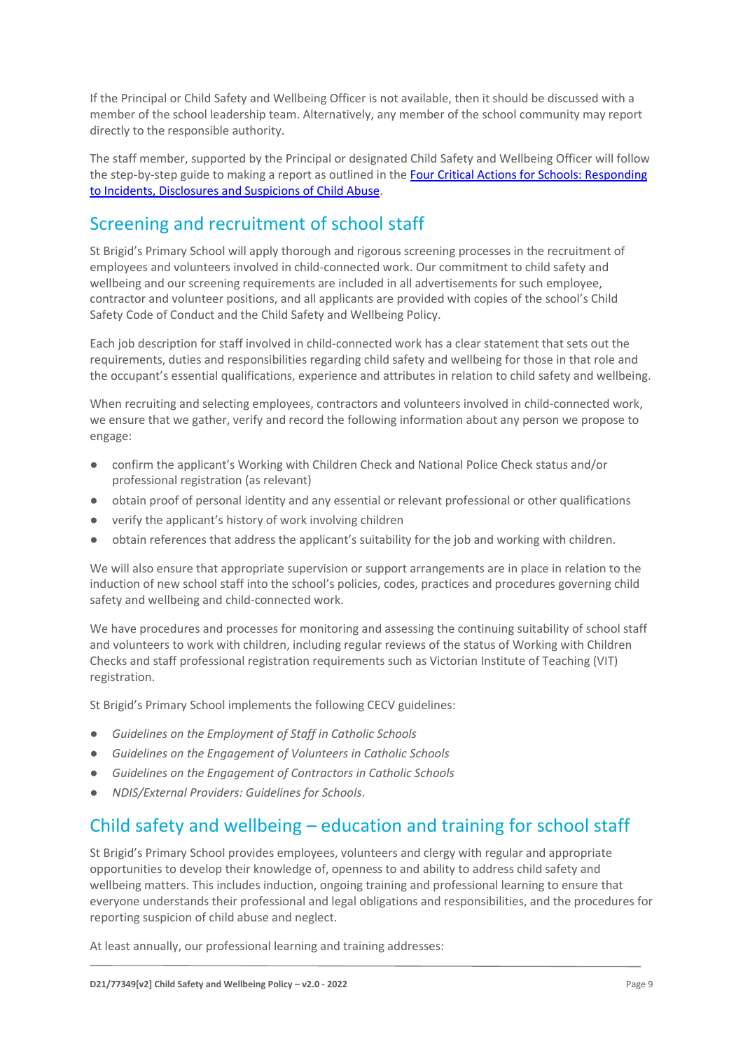If the Principal or Child Safety and Wellbeing Officer is not available, then it should be discussed with a member of the school leadership team. Alternatively, any member of the school community may report directly to the responsible authority.

The staff member, supported by the Principal or designated Child Safety and Wellbeing Officer will follow the step-by-step guide to making a report as outlined in th[e Four Critical Actions for Schools: Responding](https://www.education.vic.gov.au/Documents/about/programs/health/protect/FourCriticalActions_ChildAbuse.pdf)  [to Incidents, Disclosures and Suspicions of Child Abuse.](https://www.education.vic.gov.au/Documents/about/programs/health/protect/FourCriticalActions_ChildAbuse.pdf)

## Screening and recruitment of school staff

St Brigid's Primary School will apply thorough and rigorous screening processes in the recruitment of employees and volunteers involved in child-connected work. Our commitment to child safety and wellbeing and our screening requirements are included in all advertisements for such employee, contractor and volunteer positions, and all applicants are provided with copies of the school's Child Safety Code of Conduct and the Child Safety and Wellbeing Policy.

Each job description for staff involved in child-connected work has a clear statement that sets out the requirements, duties and responsibilities regarding child safety and wellbeing for those in that role and the occupant's essential qualifications, experience and attributes in relation to child safety and wellbeing.

When recruiting and selecting employees, contractors and volunteers involved in child-connected work, we ensure that we gather, verify and record the following information about any person we propose to engage:

- confirm the applicant's Working with Children Check and National Police Check status and/or professional registration (as relevant)
- obtain proof of personal identity and any essential or relevant professional or other qualifications
- verify the applicant's history of work involving children
- obtain references that address the applicant's suitability for the job and working with children.

We will also ensure that appropriate supervision or support arrangements are in place in relation to the induction of new school staff into the school's policies, codes, practices and procedures governing child safety and wellbeing and child-connected work.

We have procedures and processes for monitoring and assessing the continuing suitability of school staff and volunteers to work with children, including regular reviews of the status of Working with Children Checks and staff professional registration requirements such as Victorian Institute of Teaching (VIT) registration.

St Brigid's Primary School implements the following CECV guidelines:

- *Guidelines on the Employment of Staff in Catholic Schools*
- *Guidelines on the Engagement of Volunteers in Catholic Schools*
- *Guidelines on the Engagement of Contractors in Catholic Schools*
- *NDIS/External Providers: Guidelines for Schools*.

#### Child safety and wellbeing – education and training for school staff

St Brigid's Primary School provides employees, volunteers and clergy with regular and appropriate opportunities to develop their knowledge of, openness to and ability to address child safety and wellbeing matters. This includes induction, ongoing training and professional learning to ensure that everyone understands their professional and legal obligations and responsibilities, and the procedures for reporting suspicion of child abuse and neglect.

At least annually, our professional learning and training addresses: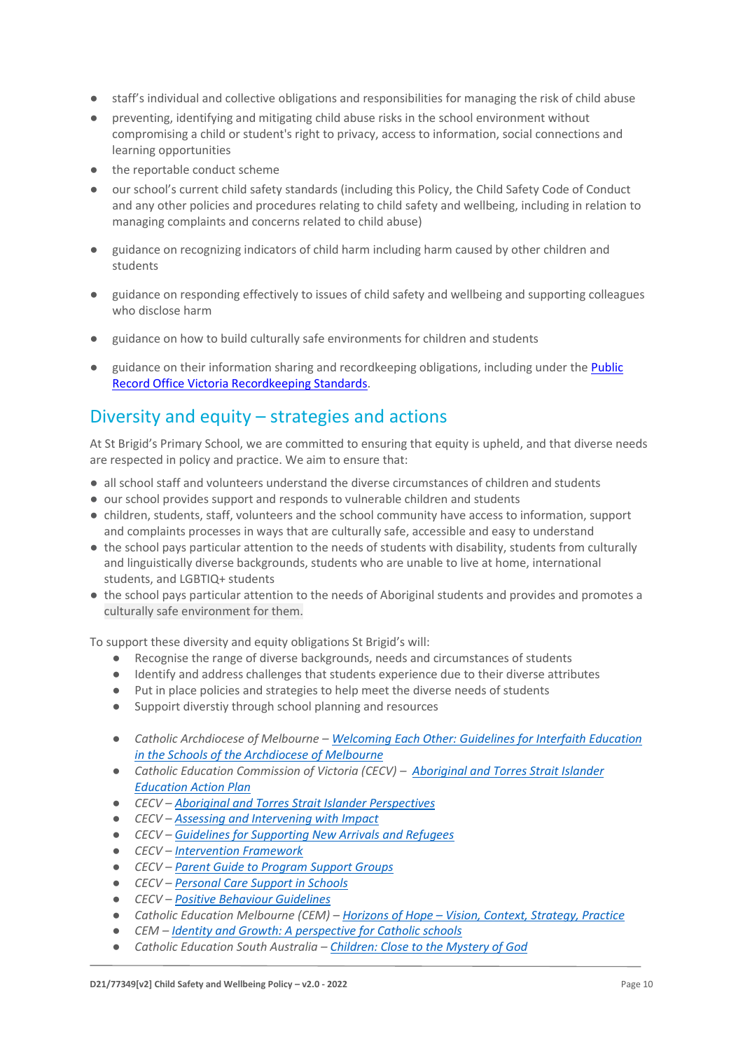- staff's individual and collective obligations and responsibilities for managing the risk of child abuse
- preventing, identifying and mitigating child abuse risks in the school environment without compromising a child or student's right to privacy, access to information, social connections and learning opportunities
- the reportable conduct scheme
- our school's current child safety standards (including this Policy, the Child Safety Code of Conduct and any other policies and procedures relating to child safety and wellbeing, including in relation to managing complaints and concerns related to child abuse)
- guidance on recognizing indicators of child harm including harm caused by other children and students
- guidance on responding effectively to issues of child safety and wellbeing and supporting colleagues who disclose harm
- guidance on how to build culturally safe environments for children and students
- guidance on their information sharing and recordkeeping obligations, including under the Public [Record Office Victoria Recordkeeping Standards.](https://prov.vic.gov.au/sites/default/files/files/documents/1906v1.0.pdf)

### Diversity and equity – strategies and actions

At St Brigid's Primary School, we are committed to ensuring that equity is upheld, and that diverse needs are respected in policy and practice. We aim to ensure that:

- all school staff and volunteers understand the diverse circumstances of children and students
- our school provides support and responds to vulnerable children and students
- children, students, staff, volunteers and the school community have access to information, support and complaints processes in ways that are culturally safe, accessible and easy to understand
- the school pays particular attention to the needs of students with disability, students from culturally and linguistically diverse backgrounds, students who are unable to live at home, international students, and LGBTIQ+ students
- the school pays particular attention to the needs of Aboriginal students and provides and promotes a culturally safe environment for them.

To support these diversity and equity obligations St Brigid's will:

- Recognise the range of diverse backgrounds, needs and circumstances of students
- Identify and address challenges that students experience due to their diverse attributes
- Put in place policies and strategies to help meet the diverse needs of students
- Suppoirt diverstiy through school planning and resources
- *Catholic Archdiocese of Melbourne – [Welcoming Each Other: Guidelines for Interfaith Education](http://www.cam1.org.au/eic/welcoming/index.html)  [in the Schools of the Archdiocese of Melbourne](http://www.cam1.org.au/eic/welcoming/index.html)*
- *Catholic Education Commission of Victoria (CECV) – [Aboriginal and Torres Strait Islander](https://www.cecv.catholic.edu.au/getmedia/bd494d6a-2d58-4f9b-94a2-85f3ab75e7ea/CECV-Aboriginal-and-Torres-Strait-Islander-Education-Action-Plan.aspx?ext=.pdf)  [Education Action Plan](https://www.cecv.catholic.edu.au/getmedia/bd494d6a-2d58-4f9b-94a2-85f3ab75e7ea/CECV-Aboriginal-and-Torres-Strait-Islander-Education-Action-Plan.aspx?ext=.pdf)*
- *CECV – [Aboriginal and Torres Strait Islander Perspectives](https://cevn.cecv.catholic.edu.au/Melb/Student-Support/Cultural-Diversity/ATSI-perspectives)*
- *CECV – [Assessing and Intervening with Impact](https://cevn.cecv.catholic.edu.au/Melb/Document-File/Students-Support/Practices/Assessing-and-intervening-with-impact)*
- *CECV – [Guidelines for Supporting New Arrivals and Refugees](https://www.cecv.catholic.edu.au/getmedia/b1a8935d-5f90-45e6-bb28-828e23c83366/CECV-Guidelines-for-New-Arrivals-and-Refugees-2020-2022.aspx?ext=.pdf)*
- *CECV – [Intervention Framework](https://www.cecv.catholic.edu.au/getmedia/757e80aa-1c1a-4510-8d8a-f1ca72a92adb/CECV-Intervention-Framework-2021-overview.aspx?ext=.pdf)*
- *CECV – [Parent Guide to Program Support Groups](https://www.cecv.catholic.edu.au/getmedia/8067c3e8-72f0-402c-9b78-60450b06c689/Parent-Guide-to-Program-Support-Groups.aspx?ext=.pdf)*
- *CECV – [Personal Care Support in Schools](https://www.cecv.catholic.edu.au/getmedia/56a1892e-fc3f-45f8-b057-daa8dd462dfd/CECV-Personal-Care-Support-in-Schools.aspx?ext=.pdf)*
- *CECV – [Positive Behaviour Guidelines](https://www.cecv.catholic.edu.au/getmedia/bc1d235d-9a98-4bb4-b3ac-84b50fa7c639/CECV-Positive-Behaviour-Guidelines_FINAL2.aspx?ext=.pdf)*
- *Catholic Education Melbourne (CEM) – Horizons of Hope – [Vision, Context, Strategy, Practice](https://cevn.cecv.catholic.edu.au/Melb/Curriculum/Horizons-of-Hope)*
- *CEM – [Identity and Growth: A perspective for Catholic schools](https://cevn.cecv.catholic.edu.au/Melb/MI/Identity-Growth)*
- *Catholic Education South Australia – [Children: Close to the Mystery of God](https://safeguardingchildren.acu.edu.au/-/media/feature/micrositesarticles/safeguardingchildren/children_close_to_mystery_of_god_-vjuly2015rev_20150825.pdf?la=en&hash=A5234C17459BAE41E54584FAA066B9A0)*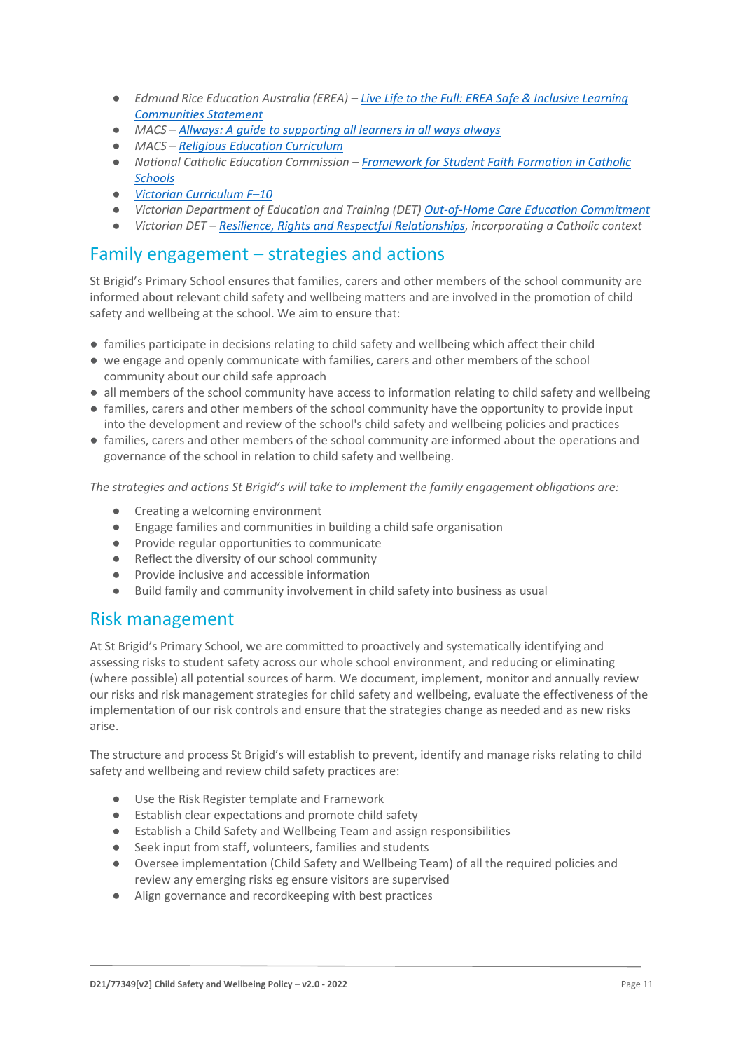- *Edmund Rice Education Australia (EREA) – [Live Life to the Full: EREA Safe & Inclusive Learning](https://www.erea.edu.au/wp-content/uploads/2020/09/Safe_and_inclusive_Resource.pdf)  [Communities Statement](https://www.erea.edu.au/wp-content/uploads/2020/09/Safe_and_inclusive_Resource.pdf)*
- *MACS – [Allways: A guide to supporting all learners in all ways always](https://www.macs.vic.edu.au/CatholicEducationMelbourne/media/Documentation/Documents/Allways-A4-book-Guide-web.pdf)*
- *MACS – [Religious Education Curriculum](https://resource-macs.com/)*
- *National Catholic Education Commission – Framework for [Student Faith Formation in Catholic](https://www.ncec.catholic.edu.au/doclink/student-faith-formation-in-catholic-schools-february-2022/eyJ0eXAiOiJKV1QiLCJhbGciOiJIUzI1NiJ9.eyJzdWIiOiJzdHVkZW50LWZhaXRoLWZvcm1hdGlvbi1pbi1jYXRob2xpYy1zY2hvb2xzLWZlYnJ1YXJ5LTIwMjIiLCJpYXQiOjE2NDQyNzM3NTYsImV4cCI6MTY0NDM2MDE1Nn0.jGLDyhU7PGuIaDiSI4Pv5ODo78qVCxDaI9e5o0m7CVg)  [Schools](https://www.ncec.catholic.edu.au/doclink/student-faith-formation-in-catholic-schools-february-2022/eyJ0eXAiOiJKV1QiLCJhbGciOiJIUzI1NiJ9.eyJzdWIiOiJzdHVkZW50LWZhaXRoLWZvcm1hdGlvbi1pbi1jYXRob2xpYy1zY2hvb2xzLWZlYnJ1YXJ5LTIwMjIiLCJpYXQiOjE2NDQyNzM3NTYsImV4cCI6MTY0NDM2MDE1Nn0.jGLDyhU7PGuIaDiSI4Pv5ODo78qVCxDaI9e5o0m7CVg)*
- *[Victorian Curriculum F](https://victoriancurriculum.vcaa.vic.edu.au/)–10*
- *Victorian Department of Education and Training (DET) [Out-of-Home Care Education Commitment](https://www.cecv.catholic.edu.au/getmedia/11631bac-6208-4324-887e-0aca88189126/OoHC-Education-Commitment.aspx?ext=.pdf)*
- *Victorian DET – [Resilience, Rights and Respectful Relationships,](https://fuse.education.vic.gov.au/ResourcePackage/ByPin?pin=2JZX4R) incorporating a Catholic context*

#### Family engagement – strategies and actions

St Brigid's Primary School ensures that families, carers and other members of the school community are informed about relevant child safety and wellbeing matters and are involved in the promotion of child safety and wellbeing at the school. We aim to ensure that:

- families participate in decisions relating to child safety and wellbeing which affect their child
- we engage and openly communicate with families, carers and other members of the school community about our child safe approach
- all members of the school community have access to information relating to child safety and wellbeing
- families, carers and other members of the school community have the opportunity to provide input into the development and review of the school's child safety and wellbeing policies and practices
- families, carers and other members of the school community are informed about the operations and governance of the school in relation to child safety and wellbeing.

*The strategies and actions St Brigid's will take to implement the family engagement obligations are:*

- Creating a welcoming environment
- Engage families and communities in building a child safe organisation
- Provide regular opportunities to communicate
- Reflect the diversity of our school community
- Provide inclusive and accessible information
- Build family and community involvement in child safety into business as usual

#### Risk management

At St Brigid's Primary School, we are committed to proactively and systematically identifying and assessing risks to student safety across our whole school environment, and reducing or eliminating (where possible) all potential sources of harm. We document, implement, monitor and annually review our risks and risk management strategies for child safety and wellbeing, evaluate the effectiveness of the implementation of our risk controls and ensure that the strategies change as needed and as new risks arise.

The structure and process St Brigid's will establish to prevent, identify and manage risks relating to child safety and wellbeing and review child safety practices are:

- Use the Risk Register template and Framework
- Establish clear expectations and promote child safety
- Establish a Child Safety and Wellbeing Team and assign responsibilities
- Seek input from staff, volunteers, families and students
- Oversee implementation (Child Safety and Wellbeing Team) of all the required policies and review any emerging risks eg ensure visitors are supervised
- Align governance and recordkeeping with best practices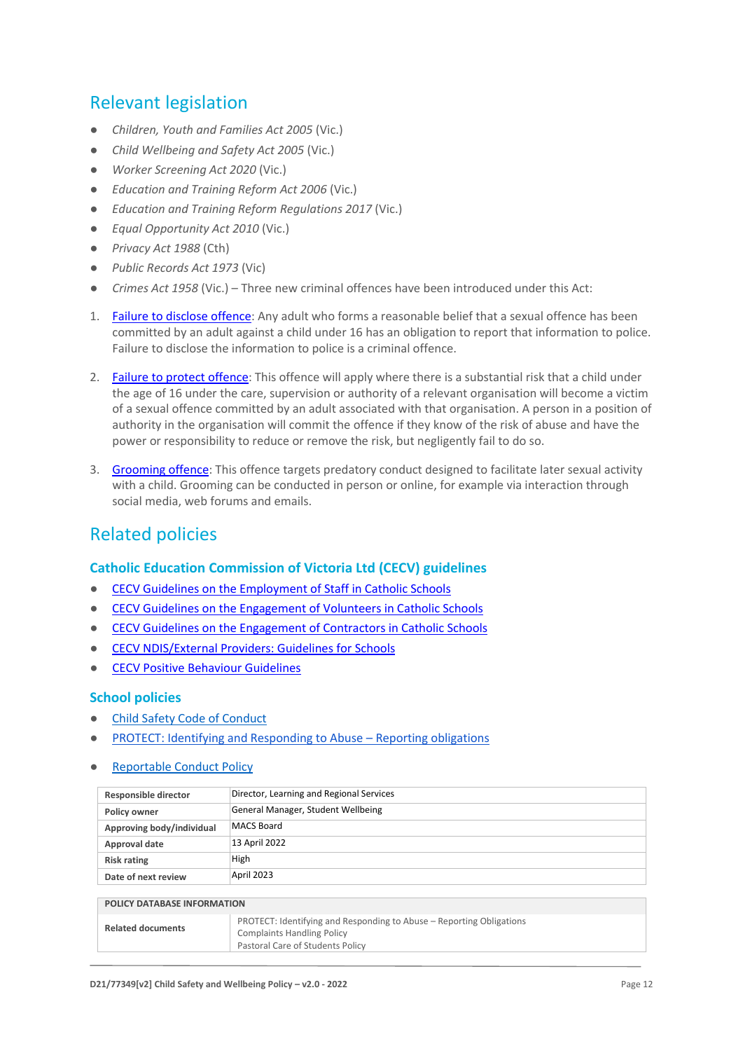### Relevant legislation

- *Children, Youth and Families Act 2005* (Vic.)
- *Child Wellbeing and Safety Act 2005* (Vic.)
- *Worker Screening Act 2020* (Vic.)
- *Education and Training Reform Act 2006* (Vic.)
- *Education and Training Reform Regulations 2017* (Vic.)
- *Equal Opportunity Act 2010* (Vic.)
- *Privacy Act 1988* (Cth)
- *Public Records Act 1973* (Vic)
- *Crimes Act 1958* (Vic.) Three new criminal offences have been introduced under this Act:
- 1. [Failure to disclose offence:](https://www.justice.vic.gov.au/safer-communities/protecting-children-and-families/failure-to-disclose-offence#%3A~%3Atext%3DIn%202014%2C%20the%20law%20in%20Victoria%20was%20changed%2Coffended%20against%20a%20child%20under%2016%20in%20Victoria) Any adult who forms a reasonable belief that a sexual offence has been committed by an adult against a child under 16 has an obligation to report that information to police. Failure to disclose the information to police is a criminal offence.
- 2. [Failure to protect offence:](https://www.justice.vic.gov.au/safer-communities/protecting-children-and-families/failure-to-protect-a-new-criminal-offence-to#%3A~%3Atext%3DFailure%20to%20protect%3A%20a%20new%20criminal%20offence%20to%2Cfrom%20sexual%20abuse%20and%20exposure%20to%20sexual%20offenders) This offence will apply where there is a substantial risk that a child under the age of 16 under the care, supervision or authority of a relevant organisation will become a victim of a sexual offence committed by an adult associated with that organisation. A person in a position of authority in the organisation will commit the offence if they know of the risk of abuse and have the power or responsibility to reduce or remove the risk, but negligently fail to do so.
- 3. [Grooming offence:](https://www.justice.vic.gov.au/safer-communities/protecting-children-and-families/grooming-offence) This offence targets predatory conduct designed to facilitate later sexual activity with a child. Grooming can be conducted in person or online, for example via interaction through social media, web forums and emails.

#### Related policies

#### **Catholic Education Commission of Victoria Ltd (CECV) guidelines**

- [CECV Guidelines on the Employment of Staff in Catholic Schools](https://www.cecv.catholic.edu.au/getmedia/0393d7fb-2fb9-4e48-a05e-56b703dd62eb/Employment-Guidelines.aspx)
- [CECV Guidelines on the Engagement of Volunteers in Catholic Schools](https://www.cecv.catholic.edu.au/Media-Files/IR/Policies-Guidelines/Volunteers/Guidelines-on-the-Engagement-of-Volunteers.aspx)
- [CECV Guidelines on the Engagement of Contractors in Catholic Schools](https://www.cecv.catholic.edu.au/Media-Files/IR/Policies-Guidelines/Staff,-Contractors,-Volunteers/Contractor-Guidelines.aspx)
- [CECV NDIS/External Providers: Guidelines for Schools](https://www.cecv.catholic.edu.au/getmedia/cec12bdf-5e03-4d3a-ac47-504fe084f415/NDIS-External-Providers-Guidelines.aspx?ext=.pdf)
- [CECV Positive Behaviour Guidelines](https://www.cecv.catholic.edu.au/getmedia/bc1d235d-9a98-4bb4-b3ac-84b50fa7c639/CECV-Positive-Behaviour-Guidelines_FINAL2.aspx?ext=.pdf)

#### **School policies**

- **[Child Safety Code of Conduct](https://drive.google.com/file/d/1i6ymV8yZTasAUddY_t7Cp7auy9VgXAmq/view?usp=sharing)**
- [PROTECT: Identifying and Responding to Abuse](https://www.sbmord.catholic.edu.au/wp-content/uploads/2022/05/PROTECT-Identifying-and-Responding-to-Abuse-Reporting-Obligations-v2-0-2022.pdf)  Reporting obligations
- **[Reportable Conduct Policy](https://drive.google.com/file/d/1pctTT9m0Zdv_uS4v0LAJiMmQoYFJqpo1/view?usp=sharing)**

| Responsible director               | Director, Learning and Regional Services |  |
|------------------------------------|------------------------------------------|--|
| Policy owner                       | General Manager, Student Wellbeing       |  |
| Approving body/individual          | MACS Board                               |  |
| Approval date                      | 13 April 2022                            |  |
| <b>Risk rating</b>                 | High                                     |  |
| Date of next review                | April 2023                               |  |
|                                    |                                          |  |
| <b>POLICY DATABASE INFORMATION</b> |                                          |  |

| PROTECT: Identifying and Responding to Abuse – Reporting Obligations<br><b>Related documents</b><br><b>Complaints Handling Policy</b><br>Pastoral Care of Students Policy |  |  |  |
|---------------------------------------------------------------------------------------------------------------------------------------------------------------------------|--|--|--|
|                                                                                                                                                                           |  |  |  |